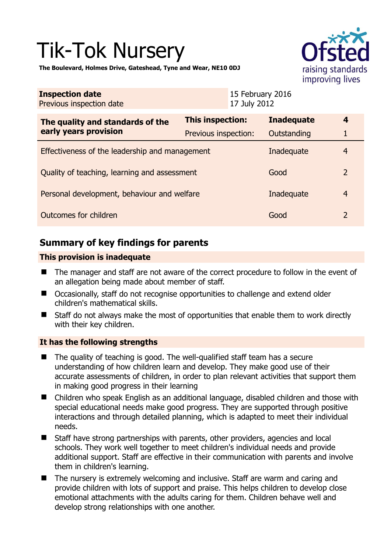# Tik-Tok Nursery



**The Boulevard, Holmes Drive, Gateshead, Tyne and Wear, NE10 0DJ** 

| <b>Inspection date</b><br>Previous inspection date        |                         | 15 February 2016<br>17 July 2012 |                   |                |
|-----------------------------------------------------------|-------------------------|----------------------------------|-------------------|----------------|
| The quality and standards of the<br>early years provision | <b>This inspection:</b> |                                  | <b>Inadequate</b> | 4              |
|                                                           | Previous inspection:    |                                  | Outstanding       |                |
| Effectiveness of the leadership and management            |                         |                                  | Inadequate        | 4              |
| Quality of teaching, learning and assessment              |                         |                                  | Good              | $\overline{2}$ |
| Personal development, behaviour and welfare               |                         |                                  | Inadequate        | 4              |
| Outcomes for children                                     |                         |                                  | Good              | $\overline{2}$ |

# **Summary of key findings for parents**

#### **This provision is inadequate**

- The manager and staff are not aware of the correct procedure to follow in the event of an allegation being made about member of staff.
- Occasionally, staff do not recognise opportunities to challenge and extend older children's mathematical skills.
- Staff do not always make the most of opportunities that enable them to work directly with their key children.

#### **It has the following strengths**

- $\blacksquare$  The quality of teaching is good. The well-qualified staff team has a secure understanding of how children learn and develop. They make good use of their accurate assessments of children, in order to plan relevant activities that support them in making good progress in their learning
- Children who speak English as an additional language, disabled children and those with special educational needs make good progress. They are supported through positive interactions and through detailed planning, which is adapted to meet their individual needs.
- Staff have strong partnerships with parents, other providers, agencies and local schools. They work well together to meet children's individual needs and provide additional support. Staff are effective in their communication with parents and involve them in children's learning.
- The nursery is extremely welcoming and inclusive. Staff are warm and caring and provide children with lots of support and praise. This helps children to develop close emotional attachments with the adults caring for them. Children behave well and develop strong relationships with one another.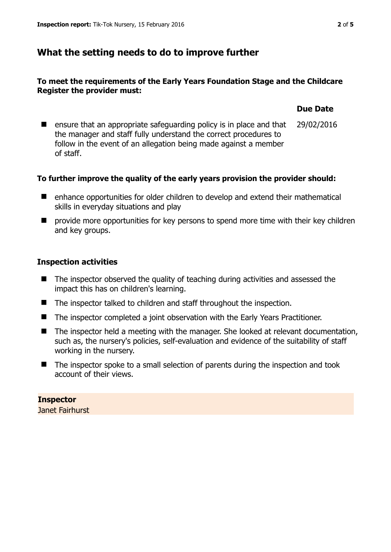## **What the setting needs to do to improve further**

#### **To meet the requirements of the Early Years Foundation Stage and the Childcare Register the provider must:**

#### $\blacksquare$  ensure that an appropriate safeguarding policy is in place and that the manager and staff fully understand the correct procedures to follow in the event of an allegation being made against a member of staff. 29/02/2016

#### **To further improve the quality of the early years provision the provider should:**

- enhance opportunities for older children to develop and extend their mathematical skills in everyday situations and play
- $\blacksquare$  provide more opportunities for key persons to spend more time with their key children and key groups.

#### **Inspection activities**

- The inspector observed the quality of teaching during activities and assessed the impact this has on children's learning.
- The inspector talked to children and staff throughout the inspection.
- The inspector completed a joint observation with the Early Years Practitioner.
- The inspector held a meeting with the manager. She looked at relevant documentation, such as, the nursery's policies, self-evaluation and evidence of the suitability of staff working in the nursery.
- The inspector spoke to a small selection of parents during the inspection and took account of their views.

# **Inspector**

Janet Fairhurst

**Due Date**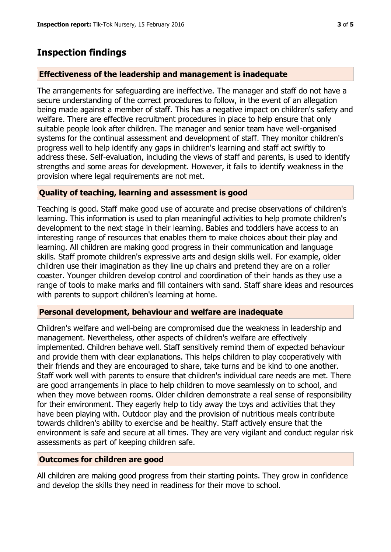# **Inspection findings**

#### **Effectiveness of the leadership and management is inadequate**

The arrangements for safeguarding are ineffective. The manager and staff do not have a secure understanding of the correct procedures to follow, in the event of an allegation being made against a member of staff. This has a negative impact on children's safety and welfare. There are effective recruitment procedures in place to help ensure that only suitable people look after children. The manager and senior team have well-organised systems for the continual assessment and development of staff. They monitor children's progress well to help identify any gaps in children's learning and staff act swiftly to address these. Self-evaluation, including the views of staff and parents, is used to identify strengths and some areas for development. However, it fails to identify weakness in the provision where legal requirements are not met.

#### **Quality of teaching, learning and assessment is good**

Teaching is good. Staff make good use of accurate and precise observations of children's learning. This information is used to plan meaningful activities to help promote children's development to the next stage in their learning. Babies and toddlers have access to an interesting range of resources that enables them to make choices about their play and learning. All children are making good progress in their communication and language skills. Staff promote children's expressive arts and design skills well. For example, older children use their imagination as they line up chairs and pretend they are on a roller coaster. Younger children develop control and coordination of their hands as they use a range of tools to make marks and fill containers with sand. Staff share ideas and resources with parents to support children's learning at home.

#### **Personal development, behaviour and welfare are inadequate**

Children's welfare and well-being are compromised due the weakness in leadership and management. Nevertheless, other aspects of children's welfare are effectively implemented. Children behave well. Staff sensitively remind them of expected behaviour and provide them with clear explanations. This helps children to play cooperatively with their friends and they are encouraged to share, take turns and be kind to one another. Staff work well with parents to ensure that children's individual care needs are met. There are good arrangements in place to help children to move seamlessly on to school, and when they move between rooms. Older children demonstrate a real sense of responsibility for their environment. They eagerly help to tidy away the toys and activities that they have been playing with. Outdoor play and the provision of nutritious meals contribute towards children's ability to exercise and be healthy. Staff actively ensure that the environment is safe and secure at all times. They are very vigilant and conduct regular risk assessments as part of keeping children safe.

#### **Outcomes for children are good**

All children are making good progress from their starting points. They grow in confidence and develop the skills they need in readiness for their move to school.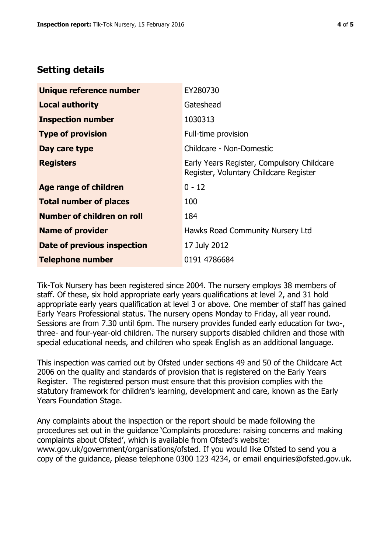## **Setting details**

| Unique reference number       | EY280730                                                                             |  |
|-------------------------------|--------------------------------------------------------------------------------------|--|
| <b>Local authority</b>        | Gateshead                                                                            |  |
| <b>Inspection number</b>      | 1030313                                                                              |  |
| <b>Type of provision</b>      | Full-time provision                                                                  |  |
| Day care type                 | Childcare - Non-Domestic                                                             |  |
| <b>Registers</b>              | Early Years Register, Compulsory Childcare<br>Register, Voluntary Childcare Register |  |
| <b>Age range of children</b>  | $0 - 12$                                                                             |  |
| <b>Total number of places</b> | 100                                                                                  |  |
| Number of children on roll    | 184                                                                                  |  |
| <b>Name of provider</b>       | Hawks Road Community Nursery Ltd                                                     |  |
| Date of previous inspection   | 17 July 2012                                                                         |  |
| <b>Telephone number</b>       | 0191 4786684                                                                         |  |

Tik-Tok Nursery has been registered since 2004. The nursery employs 38 members of staff. Of these, six hold appropriate early years qualifications at level 2, and 31 hold appropriate early years qualification at level 3 or above. One member of staff has gained Early Years Professional status. The nursery opens Monday to Friday, all year round. Sessions are from 7.30 until 6pm. The nursery provides funded early education for two-, three- and four-year-old children. The nursery supports disabled children and those with special educational needs, and children who speak English as an additional language.

This inspection was carried out by Ofsted under sections 49 and 50 of the Childcare Act 2006 on the quality and standards of provision that is registered on the Early Years Register. The registered person must ensure that this provision complies with the statutory framework for children's learning, development and care, known as the Early Years Foundation Stage.

Any complaints about the inspection or the report should be made following the procedures set out in the guidance 'Complaints procedure: raising concerns and making complaints about Ofsted', which is available from Ofsted's website: www.gov.uk/government/organisations/ofsted. If you would like Ofsted to send you a copy of the guidance, please telephone 0300 123 4234, or email enquiries@ofsted.gov.uk.